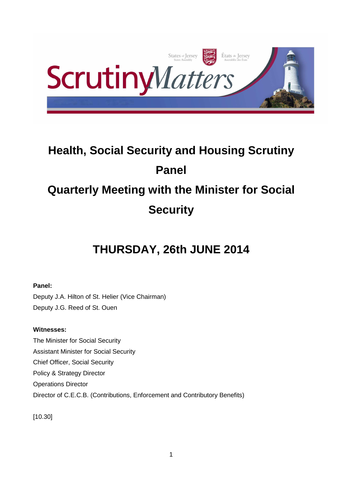

# **Health, Social Security and Housing Scrutiny Panel Quarterly Meeting with the Minister for Social Security**

## **THURSDAY, 26th JUNE 2014**

## **Panel:**

Deputy J.A. Hilton of St. Helier (Vice Chairman) Deputy J.G. Reed of St. Ouen

## **Witnesses:**

The Minister for Social Security Assistant Minister for Social Security Chief Officer, Social Security Policy & Strategy Director Operations Director Director of C.E.C.B. (Contributions, Enforcement and Contributory Benefits)

[10.30]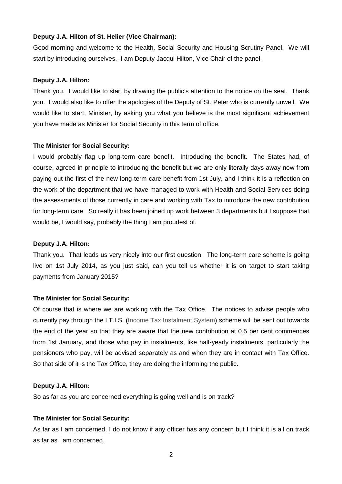#### **Deputy J.A. Hilton of St. Helier (Vice Chairman):**

Good morning and welcome to the Health, Social Security and Housing Scrutiny Panel. We will start by introducing ourselves. I am Deputy Jacqui Hilton, Vice Chair of the panel.

#### **Deputy J.A. Hilton:**

Thank you. I would like to start by drawing the public's attention to the notice on the seat. Thank you. I would also like to offer the apologies of the Deputy of St. Peter who is currently unwell. We would like to start, Minister, by asking you what you believe is the most significant achievement you have made as Minister for Social Security in this term of office.

#### **The Minister for Social Security:**

I would probably flag up long-term care benefit. Introducing the benefit. The States had, of course, agreed in principle to introducing the benefit but we are only literally days away now from paying out the first of the new long-term care benefit from 1st July, and I think it is a reflection on the work of the department that we have managed to work with Health and Social Services doing the assessments of those currently in care and working with Tax to introduce the new contribution for long-term care. So really it has been joined up work between 3 departments but I suppose that would be, I would say, probably the thing I am proudest of.

#### **Deputy J.A. Hilton:**

Thank you. That leads us very nicely into our first question. The long-term care scheme is going live on 1st July 2014, as you just said, can you tell us whether it is on target to start taking payments from January 2015?

## **The Minister for Social Security:**

Of course that is where we are working with the Tax Office. The notices to advise people who currently pay through the I.T.I.S. (Income Tax Instalment System) scheme will be sent out towards the end of the year so that they are aware that the new contribution at 0.5 per cent commences from 1st January, and those who pay in instalments, like half-yearly instalments, particularly the pensioners who pay, will be advised separately as and when they are in contact with Tax Office. So that side of it is the Tax Office, they are doing the informing the public.

#### **Deputy J.A. Hilton:**

So as far as you are concerned everything is going well and is on track?

#### **The Minister for Social Security:**

As far as I am concerned, I do not know if any officer has any concern but I think it is all on track as far as I am concerned.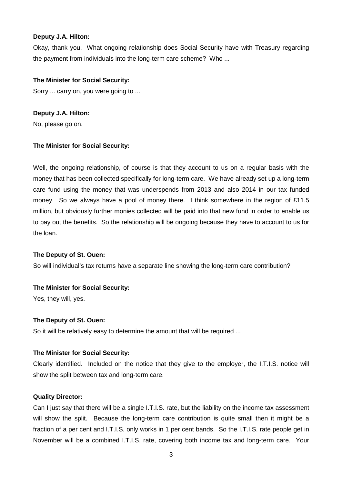## **Deputy J.A. Hilton:**

Okay, thank you. What ongoing relationship does Social Security have with Treasury regarding the payment from individuals into the long-term care scheme? Who ...

## **The Minister for Social Security:**

Sorry ... carry on, you were going to ...

**Deputy J.A. Hilton:** 

No, please go on.

## **The Minister for Social Security:**

Well, the ongoing relationship, of course is that they account to us on a regular basis with the money that has been collected specifically for long-term care. We have already set up a long-term care fund using the money that was underspends from 2013 and also 2014 in our tax funded money. So we always have a pool of money there. I think somewhere in the region of £11.5 million, but obviously further monies collected will be paid into that new fund in order to enable us to pay out the benefits. So the relationship will be ongoing because they have to account to us for the loan.

## **The Deputy of St. Ouen:**

So will individual's tax returns have a separate line showing the long-term care contribution?

## **The Minister for Social Security:**

Yes, they will, yes.

## **The Deputy of St. Ouen:**

So it will be relatively easy to determine the amount that will be required ...

## **The Minister for Social Security:**

Clearly identified. Included on the notice that they give to the employer, the I.T.I.S. notice will show the split between tax and long-term care.

## **Quality Director:**

Can I just say that there will be a single I.T.I.S. rate, but the liability on the income tax assessment will show the split. Because the long-term care contribution is quite small then it might be a fraction of a per cent and I.T.I.S. only works in 1 per cent bands. So the I.T.I.S. rate people get in November will be a combined I.T.I.S. rate, covering both income tax and long-term care. Your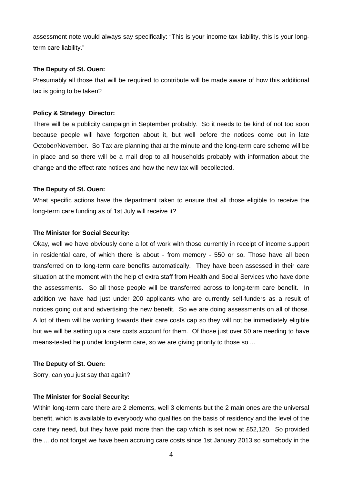assessment note would always say specifically: "This is your income tax liability, this is your longterm care liability."

#### **The Deputy of St. Ouen:**

Presumably all those that will be required to contribute will be made aware of how this additional tax is going to be taken?

## **Policy & Strategy Director:**

There will be a publicity campaign in September probably. So it needs to be kind of not too soon because people will have forgotten about it, but well before the notices come out in late October/November. So Tax are planning that at the minute and the long-term care scheme will be in place and so there will be a mail drop to all households probably with information about the change and the effect rate notices and how the new tax will becollected.

#### **The Deputy of St. Ouen:**

What specific actions have the department taken to ensure that all those eligible to receive the long-term care funding as of 1st July will receive it?

#### **The Minister for Social Security:**

Okay, well we have obviously done a lot of work with those currently in receipt of income support in residential care, of which there is about - from memory - 550 or so. Those have all been transferred on to long-term care benefits automatically. They have been assessed in their care situation at the moment with the help of extra staff from Health and Social Services who have done the assessments. So all those people will be transferred across to long-term care benefit. In addition we have had just under 200 applicants who are currently self-funders as a result of notices going out and advertising the new benefit. So we are doing assessments on all of those. A lot of them will be working towards their care costs cap so they will not be immediately eligible but we will be setting up a care costs account for them. Of those just over 50 are needing to have means-tested help under long-term care, so we are giving priority to those so ...

#### **The Deputy of St. Ouen:**

Sorry, can you just say that again?

## **The Minister for Social Security:**

Within long-term care there are 2 elements, well 3 elements but the 2 main ones are the universal benefit, which is available to everybody who qualifies on the basis of residency and the level of the care they need, but they have paid more than the cap which is set now at £52,120. So provided the ... do not forget we have been accruing care costs since 1st January 2013 so somebody in the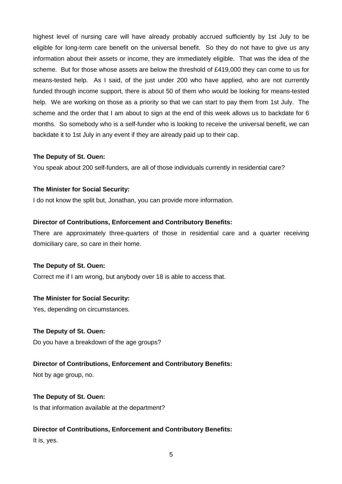highest level of nursing care will have already probably accrued sufficiently by 1st July to be eligible for long-term care benefit on the universal benefit. So they do not have to give us any information about their assets or income, they are immediately eligible. That was the idea of the scheme. But for those whose assets are below the threshold of £419,000 they can come to us for means-tested help. As I said, of the just under 200 who have applied, who are not currently funded through income support, there is about 50 of them who would be looking for means-tested help. We are working on those as a priority so that we can start to pay them from 1st July. The scheme and the order that I am about to sign at the end of this week allows us to backdate for 6 months. So somebody who is a self-funder who is looking to receive the universal benefit, we can backdate it to 1st July in any event if they are already paid up to their cap.

## **The Deputy of St. Ouen:**

You speak about 200 self-funders, are all of those individuals currently in residential care?

## **The Minister for Social Security:**

I do not know the split but, Jonathan, you can provide more information.

## **Director of Contributions, Enforcement and Contributory Benefits:**

There are approximately three-quarters of those in residential care and a quarter receiving domiciliary care, so care in their home.

## **The Deputy of St. Ouen:**

Correct me if I am wrong, but anybody over 18 is able to access that.

## **The Minister for Social Security:**

Yes, depending on circumstances.

## **The Deputy of St. Ouen:**

Do you have a breakdown of the age groups?

## **Director of Contributions, Enforcement and Contributory Benefits:**

Not by age group, no.

## **The Deputy of St. Ouen:**

Is that information available at the department?

## **Director of Contributions, Enforcement and Contributory Benefits:**

It is, yes.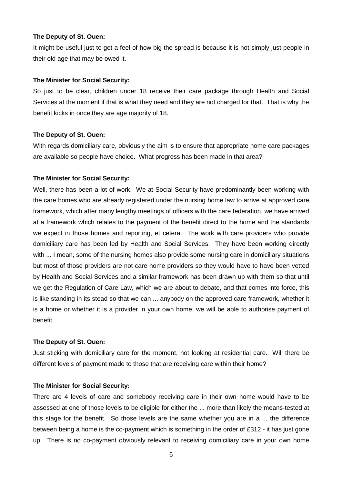#### **The Deputy of St. Ouen:**

It might be useful just to get a feel of how big the spread is because it is not simply just people in their old age that may be owed it.

#### **The Minister for Social Security:**

So just to be clear, children under 18 receive their care package through Health and Social Services at the moment if that is what they need and they are not charged for that. That is why the benefit kicks in once they are age majority of 18.

#### **The Deputy of St. Ouen:**

With regards domiciliary care, obviously the aim is to ensure that appropriate home care packages are available so people have choice. What progress has been made in that area?

#### **The Minister for Social Security:**

Well, there has been a lot of work. We at Social Security have predominantly been working with the care homes who are already registered under the nursing home law to arrive at approved care framework, which after many lengthy meetings of officers with the care federation, we have arrived at a framework which relates to the payment of the benefit direct to the home and the standards we expect in those homes and reporting, et cetera. The work with care providers who provide domiciliary care has been led by Health and Social Services. They have been working directly with ... I mean, some of the nursing homes also provide some nursing care in domiciliary situations but most of those providers are not care home providers so they would have to have been vetted by Health and Social Services and a similar framework has been drawn up with them so that until we get the Regulation of Care Law, which we are about to debate, and that comes into force, this is like standing in its stead so that we can ... anybody on the approved care framework, whether it is a home or whether it is a provider in your own home, we will be able to authorise payment of benefit.

#### **The Deputy of St. Ouen:**

Just sticking with domiciliary care for the moment, not looking at residential care. Will there be different levels of payment made to those that are receiving care within their home?

#### **The Minister for Social Security:**

There are 4 levels of care and somebody receiving care in their own home would have to be assessed at one of those levels to be eligible for either the ... more than likely the means-tested at this stage for the benefit. So those levels are the same whether you are in a ... the difference between being a home is the co-payment which is something in the order of £312 - it has just gone up. There is no co-payment obviously relevant to receiving domiciliary care in your own home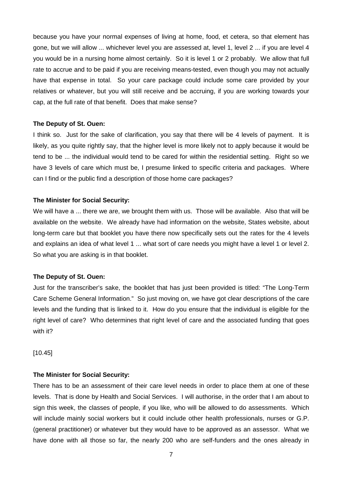because you have your normal expenses of living at home, food, et cetera, so that element has gone, but we will allow ... whichever level you are assessed at, level 1, level 2 ... if you are level 4 you would be in a nursing home almost certainly. So it is level 1 or 2 probably. We allow that full rate to accrue and to be paid if you are receiving means-tested, even though you may not actually have that expense in total. So your care package could include some care provided by your relatives or whatever, but you will still receive and be accruing, if you are working towards your cap, at the full rate of that benefit. Does that make sense?

#### **The Deputy of St. Ouen:**

I think so. Just for the sake of clarification, you say that there will be 4 levels of payment. It is likely, as you quite rightly say, that the higher level is more likely not to apply because it would be tend to be ... the individual would tend to be cared for within the residential setting. Right so we have 3 levels of care which must be, I presume linked to specific criteria and packages. Where can I find or the public find a description of those home care packages?

#### **The Minister for Social Security:**

We will have a ... there we are, we brought them with us. Those will be available. Also that will be available on the website. We already have had information on the website, States website, about long-term care but that booklet you have there now specifically sets out the rates for the 4 levels and explains an idea of what level 1 ... what sort of care needs you might have a level 1 or level 2. So what you are asking is in that booklet.

#### **The Deputy of St. Ouen:**

Just for the transcriber's sake, the booklet that has just been provided is titled: "The Long-Term Care Scheme General Information." So just moving on, we have got clear descriptions of the care levels and the funding that is linked to it. How do you ensure that the individual is eligible for the right level of care? Who determines that right level of care and the associated funding that goes with it?

[10.45]

#### **The Minister for Social Security:**

There has to be an assessment of their care level needs in order to place them at one of these levels. That is done by Health and Social Services. I will authorise, in the order that I am about to sign this week, the classes of people, if you like, who will be allowed to do assessments. Which will include mainly social workers but it could include other health professionals, nurses or G.P. (general practitioner) or whatever but they would have to be approved as an assessor. What we have done with all those so far, the nearly 200 who are self-funders and the ones already in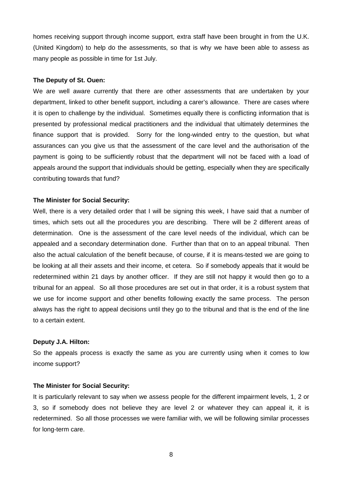homes receiving support through income support, extra staff have been brought in from the U.K. (United Kingdom) to help do the assessments, so that is why we have been able to assess as many people as possible in time for 1st July.

#### **The Deputy of St. Ouen:**

We are well aware currently that there are other assessments that are undertaken by your department, linked to other benefit support, including a carer's allowance. There are cases where it is open to challenge by the individual. Sometimes equally there is conflicting information that is presented by professional medical practitioners and the individual that ultimately determines the finance support that is provided. Sorry for the long-winded entry to the question, but what assurances can you give us that the assessment of the care level and the authorisation of the payment is going to be sufficiently robust that the department will not be faced with a load of appeals around the support that individuals should be getting, especially when they are specifically contributing towards that fund?

#### **The Minister for Social Security:**

Well, there is a very detailed order that I will be signing this week. I have said that a number of times, which sets out all the procedures you are describing. There will be 2 different areas of determination. One is the assessment of the care level needs of the individual, which can be appealed and a secondary determination done. Further than that on to an appeal tribunal. Then also the actual calculation of the benefit because, of course, if it is means-tested we are going to be looking at all their assets and their income, et cetera. So if somebody appeals that it would be redetermined within 21 days by another officer. If they are still not happy it would then go to a tribunal for an appeal. So all those procedures are set out in that order, it is a robust system that we use for income support and other benefits following exactly the same process. The person always has the right to appeal decisions until they go to the tribunal and that is the end of the line to a certain extent.

#### **Deputy J.A. Hilton:**

So the appeals process is exactly the same as you are currently using when it comes to low income support?

#### **The Minister for Social Security:**

It is particularly relevant to say when we assess people for the different impairment levels, 1, 2 or 3, so if somebody does not believe they are level 2 or whatever they can appeal it, it is redetermined. So all those processes we were familiar with, we will be following similar processes for long-term care.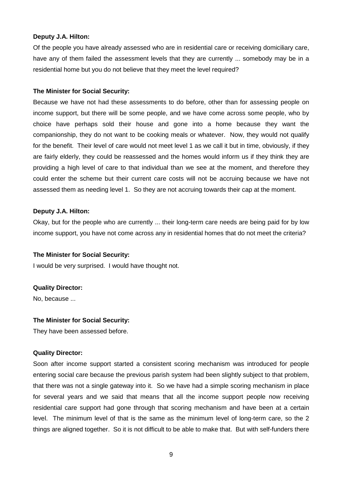#### **Deputy J.A. Hilton:**

Of the people you have already assessed who are in residential care or receiving domiciliary care, have any of them failed the assessment levels that they are currently ... somebody may be in a residential home but you do not believe that they meet the level required?

#### **The Minister for Social Security:**

Because we have not had these assessments to do before, other than for assessing people on income support, but there will be some people, and we have come across some people, who by choice have perhaps sold their house and gone into a home because they want the companionship, they do not want to be cooking meals or whatever. Now, they would not qualify for the benefit. Their level of care would not meet level 1 as we call it but in time, obviously, if they are fairly elderly, they could be reassessed and the homes would inform us if they think they are providing a high level of care to that individual than we see at the moment, and therefore they could enter the scheme but their current care costs will not be accruing because we have not assessed them as needing level 1. So they are not accruing towards their cap at the moment.

#### **Deputy J.A. Hilton:**

Okay, but for the people who are currently ... their long-term care needs are being paid for by low income support, you have not come across any in residential homes that do not meet the criteria?

#### **The Minister for Social Security:**

I would be very surprised. I would have thought not.

#### **Quality Director:**

No, because ...

#### **The Minister for Social Security:**

They have been assessed before.

#### **Quality Director:**

Soon after income support started a consistent scoring mechanism was introduced for people entering social care because the previous parish system had been slightly subject to that problem, that there was not a single gateway into it. So we have had a simple scoring mechanism in place for several years and we said that means that all the income support people now receiving residential care support had gone through that scoring mechanism and have been at a certain level. The minimum level of that is the same as the minimum level of long-term care, so the 2 things are aligned together. So it is not difficult to be able to make that. But with self-funders there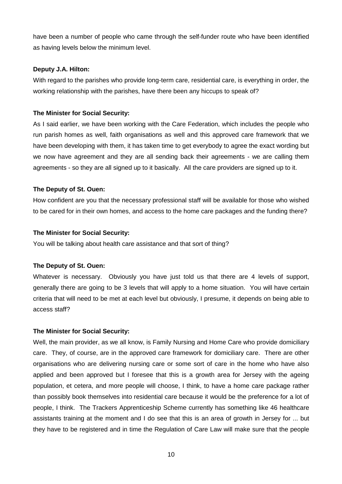have been a number of people who came through the self-funder route who have been identified as having levels below the minimum level.

#### **Deputy J.A. Hilton:**

With regard to the parishes who provide long-term care, residential care, is everything in order, the working relationship with the parishes, have there been any hiccups to speak of?

## **The Minister for Social Security:**

As I said earlier, we have been working with the Care Federation, which includes the people who run parish homes as well, faith organisations as well and this approved care framework that we have been developing with them, it has taken time to get everybody to agree the exact wording but we now have agreement and they are all sending back their agreements - we are calling them agreements - so they are all signed up to it basically. All the care providers are signed up to it.

#### **The Deputy of St. Ouen:**

How confident are you that the necessary professional staff will be available for those who wished to be cared for in their own homes, and access to the home care packages and the funding there?

#### **The Minister for Social Security:**

You will be talking about health care assistance and that sort of thing?

## **The Deputy of St. Ouen:**

Whatever is necessary. Obviously you have just told us that there are 4 levels of support, generally there are going to be 3 levels that will apply to a home situation. You will have certain criteria that will need to be met at each level but obviously, I presume, it depends on being able to access staff?

#### **The Minister for Social Security:**

Well, the main provider, as we all know, is Family Nursing and Home Care who provide domiciliary care. They, of course, are in the approved care framework for domiciliary care. There are other organisations who are delivering nursing care or some sort of care in the home who have also applied and been approved but I foresee that this is a growth area for Jersey with the ageing population, et cetera, and more people will choose, I think, to have a home care package rather than possibly book themselves into residential care because it would be the preference for a lot of people, I think. The Trackers Apprenticeship Scheme currently has something like 46 healthcare assistants training at the moment and I do see that this is an area of growth in Jersey for ... but they have to be registered and in time the Regulation of Care Law will make sure that the people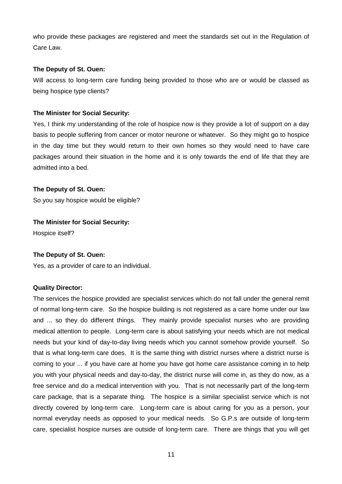who provide these packages are registered and meet the standards set out in the Regulation of Care Law.

## **The Deputy of St. Ouen:**

Will access to long-term care funding being provided to those who are or would be classed as being hospice type clients?

## **The Minister for Social Security:**

Yes, I think my understanding of the role of hospice now is they provide a lot of support on a day basis to people suffering from cancer or motor neurone or whatever. So they might go to hospice in the day time but they would return to their own homes so they would need to have care packages around their situation in the home and it is only towards the end of life that they are admitted into a bed.

## **The Deputy of St. Ouen:**

So you say hospice would be eligible?

## **The Minister for Social Security:**

Hospice itself?

## **The Deputy of St. Ouen:**

Yes, as a provider of care to an individual.

## **Quality Director:**

The services the hospice provided are specialist services which do not fall under the general remit of normal long-term care. So the hospice building is not registered as a care home under our law and ... so they do different things. They mainly provide specialist nurses who are providing medical attention to people. Long-term care is about satisfying your needs which are not medical needs but your kind of day-to-day living needs which you cannot somehow provide yourself. So that is what long-term care does. It is the same thing with district nurses where a district nurse is coming to your ... if you have care at home you have got home care assistance coming in to help you with your physical needs and day-to-day, the district nurse will come in, as they do now, as a free service and do a medical intervention with you. That is not necessarily part of the long-term care package, that is a separate thing. The hospice is a similar specialist service which is not directly covered by long-term care. Long-term care is about caring for you as a person, your normal everyday needs as opposed to your medical needs. So G.P.s are outside of long-term care, specialist hospice nurses are outside of long-term care. There are things that you will get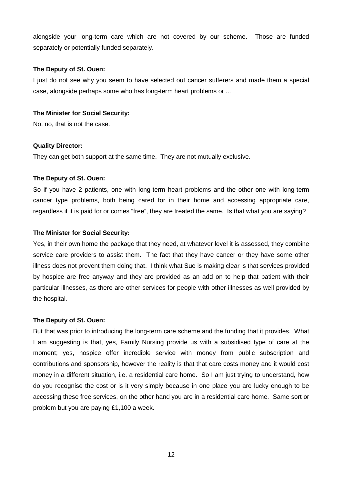alongside your long-term care which are not covered by our scheme. Those are funded separately or potentially funded separately.

## **The Deputy of St. Ouen:**

I just do not see why you seem to have selected out cancer sufferers and made them a special case, alongside perhaps some who has long-term heart problems or ...

#### **The Minister for Social Security:**

No, no, that is not the case.

#### **Quality Director:**

They can get both support at the same time. They are not mutually exclusive.

## **The Deputy of St. Ouen:**

So if you have 2 patients, one with long-term heart problems and the other one with long-term cancer type problems, both being cared for in their home and accessing appropriate care, regardless if it is paid for or comes "free", they are treated the same. Is that what you are saying?

#### **The Minister for Social Security:**

Yes, in their own home the package that they need, at whatever level it is assessed, they combine service care providers to assist them. The fact that they have cancer or they have some other illness does not prevent them doing that. I think what Sue is making clear is that services provided by hospice are free anyway and they are provided as an add on to help that patient with their particular illnesses, as there are other services for people with other illnesses as well provided by the hospital.

## **The Deputy of St. Ouen:**

But that was prior to introducing the long-term care scheme and the funding that it provides. What I am suggesting is that, yes, Family Nursing provide us with a subsidised type of care at the moment; yes, hospice offer incredible service with money from public subscription and contributions and sponsorship, however the reality is that that care costs money and it would cost money in a different situation, i.e. a residential care home. So I am just trying to understand, how do you recognise the cost or is it very simply because in one place you are lucky enough to be accessing these free services, on the other hand you are in a residential care home. Same sort or problem but you are paying £1,100 a week.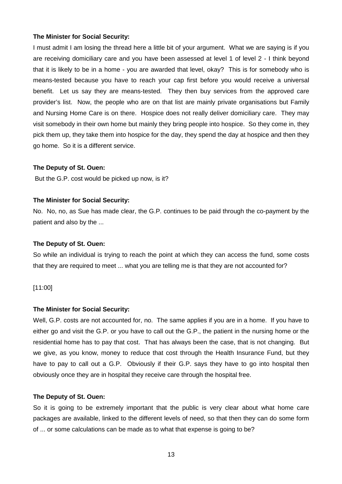I must admit I am losing the thread here a little bit of your argument. What we are saying is if you are receiving domiciliary care and you have been assessed at level 1 of level 2 - I think beyond that it is likely to be in a home - you are awarded that level, okay? This is for somebody who is means-tested because you have to reach your cap first before you would receive a universal benefit. Let us say they are means-tested. They then buy services from the approved care provider's list. Now, the people who are on that list are mainly private organisations but Family and Nursing Home Care is on there. Hospice does not really deliver domiciliary care. They may visit somebody in their own home but mainly they bring people into hospice. So they come in, they pick them up, they take them into hospice for the day, they spend the day at hospice and then they go home. So it is a different service.

#### **The Deputy of St. Ouen:**

But the G.P. cost would be picked up now, is it?

#### **The Minister for Social Security:**

No. No, no, as Sue has made clear, the G.P. continues to be paid through the co-payment by the patient and also by the ...

#### **The Deputy of St. Ouen:**

So while an individual is trying to reach the point at which they can access the fund, some costs that they are required to meet ... what you are telling me is that they are not accounted for?

#### [11:00]

#### **The Minister for Social Security:**

Well, G.P. costs are not accounted for, no. The same applies if you are in a home. If you have to either go and visit the G.P. or you have to call out the G.P., the patient in the nursing home or the residential home has to pay that cost. That has always been the case, that is not changing. But we give, as you know, money to reduce that cost through the Health Insurance Fund, but they have to pay to call out a G.P. Obviously if their G.P. says they have to go into hospital then obviously once they are in hospital they receive care through the hospital free.

#### **The Deputy of St. Ouen:**

So it is going to be extremely important that the public is very clear about what home care packages are available, linked to the different levels of need, so that then they can do some form of ... or some calculations can be made as to what that expense is going to be?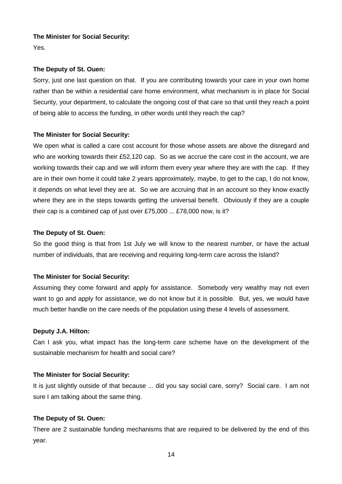Yes.

## **The Deputy of St. Ouen:**

Sorry, just one last question on that. If you are contributing towards your care in your own home rather than be within a residential care home environment, what mechanism is in place for Social Security, your department, to calculate the ongoing cost of that care so that until they reach a point of being able to access the funding, in other words until they reach the cap?

## **The Minister for Social Security:**

We open what is called a care cost account for those whose assets are above the disregard and who are working towards their £52,120 cap. So as we accrue the care cost in the account, we are working towards their cap and we will inform them every year where they are with the cap. If they are in their own home it could take 2 years approximately, maybe, to get to the cap, I do not know, it depends on what level they are at. So we are accruing that in an account so they know exactly where they are in the steps towards getting the universal benefit. Obviously if they are a couple their cap is a combined cap of just over £75,000 ... £78,000 now, is it?

## **The Deputy of St. Ouen:**

So the good thing is that from 1st July we will know to the nearest number, or have the actual number of individuals, that are receiving and requiring long-term care across the Island?

## **The Minister for Social Security:**

Assuming they come forward and apply for assistance. Somebody very wealthy may not even want to go and apply for assistance, we do not know but it is possible. But, yes, we would have much better handle on the care needs of the population using these 4 levels of assessment.

## **Deputy J.A. Hilton:**

Can I ask you, what impact has the long-term care scheme have on the development of the sustainable mechanism for health and social care?

## **The Minister for Social Security:**

It is just slightly outside of that because ... did you say social care, sorry? Social care. I am not sure I am talking about the same thing.

## **The Deputy of St. Ouen:**

There are 2 sustainable funding mechanisms that are required to be delivered by the end of this year.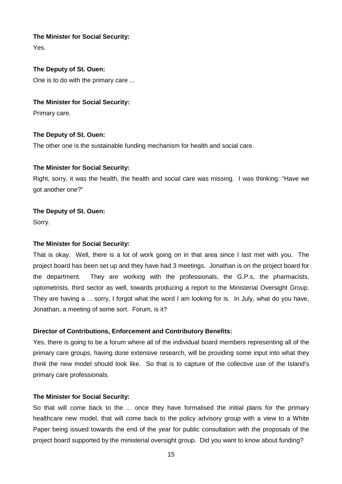Yes.

## **The Deputy of St. Ouen:**

One is to do with the primary care ...

## **The Minister for Social Security:**

Primary care.

## **The Deputy of St. Ouen:**

The other one is the sustainable funding mechanism for health and social care.

## **The Minister for Social Security:**

Right, sorry, it was the health, the health and social care was missing. I was thinking: "Have we got another one?"

## **The Deputy of St. Ouen:**

Sorry.

## **The Minister for Social Security:**

That is okay. Well, there is a lot of work going on in that area since I last met with you. The project board has been set up and they have had 3 meetings. Jonathan is on the project board for the department. They are working with the professionals, the G.P.s, the pharmacists, optometrists, third sector as well, towards producing a report to the Ministerial Oversight Group. They are having a ... sorry, I forgot what the word I am looking for is. In July, what do you have, Jonathan, a meeting of some sort. Forum, is it?

## **Director of Contributions, Enforcement and Contributory Benefits:**

Yes, there is going to be a forum where all of the individual board members representing all of the primary care groups, having done extensive research, will be providing some input into what they think the new model should look like. So that is to capture of the collective use of the Island's primary care professionals.

## **The Minister for Social Security:**

So that will come back to the ... once they have formalised the initial plans for the primary healthcare new model, that will come back to the policy advisory group with a view to a White Paper being issued towards the end of the year for public consultation with the proposals of the project board supported by the ministerial oversight group. Did you want to know about funding?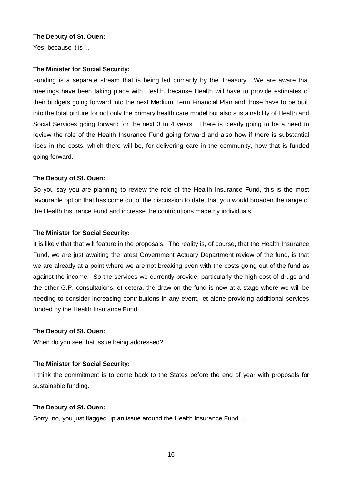## **The Deputy of St. Ouen:**

Yes, because it is ...

#### **The Minister for Social Security:**

Funding is a separate stream that is being led primarily by the Treasury. We are aware that meetings have been taking place with Health, because Health will have to provide estimates of their budgets going forward into the next Medium Term Financial Plan and those have to be built into the total picture for not only the primary health care model but also sustainability of Health and Social Services going forward for the next 3 to 4 years. There is clearly going to be a need to review the role of the Health Insurance Fund going forward and also how if there is substantial rises in the costs, which there will be, for delivering care in the community, how that is funded going forward.

## **The Deputy of St. Ouen:**

So you say you are planning to review the role of the Health Insurance Fund, this is the most favourable option that has come out of the discussion to date, that you would broaden the range of the Health Insurance Fund and increase the contributions made by individuals.

#### **The Minister for Social Security:**

It is likely that that will feature in the proposals. The reality is, of course, that the Health Insurance Fund, we are just awaiting the latest Government Actuary Department review of the fund, is that we are already at a point where we are not breaking even with the costs going out of the fund as against the income. So the services we currently provide, particularly the high cost of drugs and the other G.P. consultations, et cetera, the draw on the fund is now at a stage where we will be needing to consider increasing contributions in any event, let alone providing additional services funded by the Health Insurance Fund.

## **The Deputy of St. Ouen:**

When do you see that issue being addressed?

## **The Minister for Social Security:**

I think the commitment is to come back to the States before the end of year with proposals for sustainable funding.

## **The Deputy of St. Ouen:**

Sorry, no, you just flagged up an issue around the Health Insurance Fund ...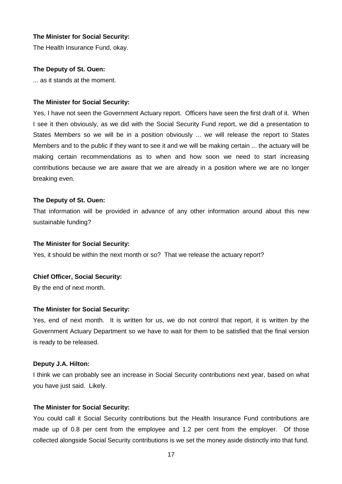The Health Insurance Fund, okay.

#### **The Deputy of St. Ouen:**

... as it stands at the moment.

#### **The Minister for Social Security:**

Yes, I have not seen the Government Actuary report. Officers have seen the first draft of it. When I see it then obviously, as we did with the Social Security Fund report, we did a presentation to States Members so we will be in a position obviously ... we will release the report to States Members and to the public if they want to see it and we will be making certain ... the actuary will be making certain recommendations as to when and how soon we need to start increasing contributions because we are aware that we are already in a position where we are no longer breaking even.

#### **The Deputy of St. Ouen:**

That information will be provided in advance of any other information around about this new sustainable funding?

#### **The Minister for Social Security:**

Yes, it should be within the next month or so? That we release the actuary report?

#### **Chief Officer, Social Security:**

By the end of next month.

#### **The Minister for Social Security:**

Yes, end of next month. It is written for us, we do not control that report, it is written by the Government Actuary Department so we have to wait for them to be satisfied that the final version is ready to be released.

#### **Deputy J.A. Hilton:**

I think we can probably see an increase in Social Security contributions next year, based on what you have just said. Likely.

#### **The Minister for Social Security:**

You could call it Social Security contributions but the Health Insurance Fund contributions are made up of 0.8 per cent from the employee and 1.2 per cent from the employer. Of those collected alongside Social Security contributions is we set the money aside distinctly into that fund.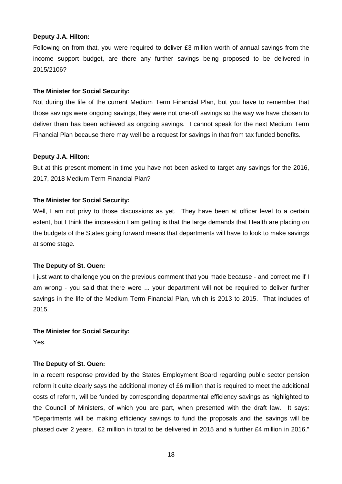#### **Deputy J.A. Hilton:**

Following on from that, you were required to deliver £3 million worth of annual savings from the income support budget, are there any further savings being proposed to be delivered in 2015/2106?

#### **The Minister for Social Security:**

Not during the life of the current Medium Term Financial Plan, but you have to remember that those savings were ongoing savings, they were not one-off savings so the way we have chosen to deliver them has been achieved as ongoing savings. I cannot speak for the next Medium Term Financial Plan because there may well be a request for savings in that from tax funded benefits.

#### **Deputy J.A. Hilton:**

But at this present moment in time you have not been asked to target any savings for the 2016, 2017, 2018 Medium Term Financial Plan?

#### **The Minister for Social Security:**

Well, I am not privy to those discussions as yet. They have been at officer level to a certain extent, but I think the impression I am getting is that the large demands that Health are placing on the budgets of the States going forward means that departments will have to look to make savings at some stage.

## **The Deputy of St. Ouen:**

I just want to challenge you on the previous comment that you made because - and correct me if I am wrong - you said that there were ... your department will not be required to deliver further savings in the life of the Medium Term Financial Plan, which is 2013 to 2015. That includes of 2015.

#### **The Minister for Social Security:**

Yes.

## **The Deputy of St. Ouen:**

In a recent response provided by the States Employment Board regarding public sector pension reform it quite clearly says the additional money of £6 million that is required to meet the additional costs of reform, will be funded by corresponding departmental efficiency savings as highlighted to the Council of Ministers, of which you are part, when presented with the draft law. It says: "Departments will be making efficiency savings to fund the proposals and the savings will be phased over 2 years. £2 million in total to be delivered in 2015 and a further £4 million in 2016."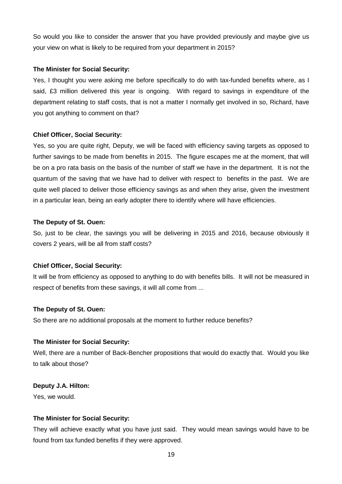So would you like to consider the answer that you have provided previously and maybe give us your view on what is likely to be required from your department in 2015?

## **The Minister for Social Security:**

Yes, I thought you were asking me before specifically to do with tax-funded benefits where, as I said, £3 million delivered this year is ongoing. With regard to savings in expenditure of the department relating to staff costs, that is not a matter I normally get involved in so, Richard, have you got anything to comment on that?

## **Chief Officer, Social Security:**

Yes, so you are quite right, Deputy, we will be faced with efficiency saving targets as opposed to further savings to be made from benefits in 2015. The figure escapes me at the moment, that will be on a pro rata basis on the basis of the number of staff we have in the department. It is not the quantum of the saving that we have had to deliver with respect to benefits in the past. We are quite well placed to deliver those efficiency savings as and when they arise, given the investment in a particular lean, being an early adopter there to identify where will have efficiencies.

## **The Deputy of St. Ouen:**

So, just to be clear, the savings you will be delivering in 2015 and 2016, because obviously it covers 2 years, will be all from staff costs?

## **Chief Officer, Social Security:**

It will be from efficiency as opposed to anything to do with benefits bills. It will not be measured in respect of benefits from these savings, it will all come from ...

## **The Deputy of St. Ouen:**

So there are no additional proposals at the moment to further reduce benefits?

## **The Minister for Social Security:**

Well, there are a number of Back-Bencher propositions that would do exactly that. Would you like to talk about those?

## **Deputy J.A. Hilton:**

Yes, we would.

## **The Minister for Social Security:**

They will achieve exactly what you have just said. They would mean savings would have to be found from tax funded benefits if they were approved.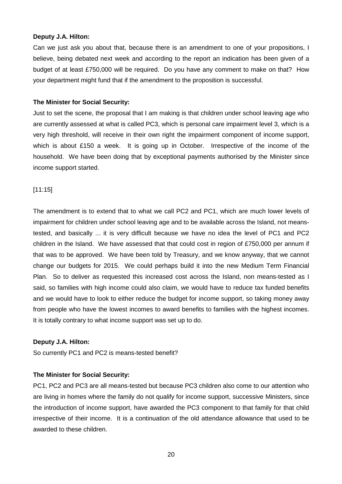#### **Deputy J.A. Hilton:**

Can we just ask you about that, because there is an amendment to one of your propositions, I believe, being debated next week and according to the report an indication has been given of a budget of at least £750,000 will be required. Do you have any comment to make on that? How your department might fund that if the amendment to the proposition is successful.

#### **The Minister for Social Security:**

Just to set the scene, the proposal that I am making is that children under school leaving age who are currently assessed at what is called PC3, which is personal care impairment level 3, which is a very high threshold, will receive in their own right the impairment component of income support, which is about £150 a week. It is going up in October. Irrespective of the income of the household. We have been doing that by exceptional payments authorised by the Minister since income support started.

[11:15]

The amendment is to extend that to what we call PC2 and PC1, which are much lower levels of impairment for children under school leaving age and to be available across the Island, not meanstested, and basically ... it is very difficult because we have no idea the level of PC1 and PC2 children in the Island. We have assessed that that could cost in region of £750,000 per annum if that was to be approved. We have been told by Treasury, and we know anyway, that we cannot change our budgets for 2015. We could perhaps build it into the new Medium Term Financial Plan. So to deliver as requested this increased cost across the Island, non means-tested as I said, so families with high income could also claim, we would have to reduce tax funded benefits and we would have to look to either reduce the budget for income support, so taking money away from people who have the lowest incomes to award benefits to families with the highest incomes. It is totally contrary to what income support was set up to do.

#### **Deputy J.A. Hilton:**

So currently PC1 and PC2 is means-tested benefit?

## **The Minister for Social Security:**

PC1, PC2 and PC3 are all means-tested but because PC3 children also come to our attention who are living in homes where the family do not qualify for income support, successive Ministers, since the introduction of income support, have awarded the PC3 component to that family for that child irrespective of their income. It is a continuation of the old attendance allowance that used to be awarded to these children.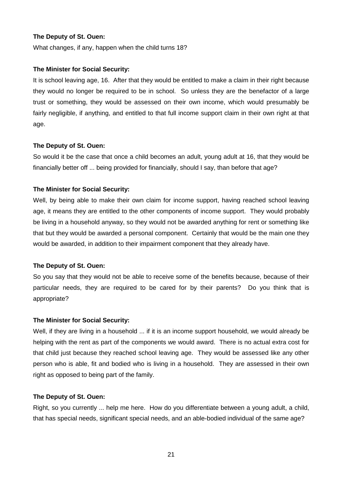## **The Deputy of St. Ouen:**

What changes, if any, happen when the child turns 18?

#### **The Minister for Social Security:**

It is school leaving age, 16. After that they would be entitled to make a claim in their right because they would no longer be required to be in school. So unless they are the benefactor of a large trust or something, they would be assessed on their own income, which would presumably be fairly negligible, if anything, and entitled to that full income support claim in their own right at that age.

#### **The Deputy of St. Ouen:**

So would it be the case that once a child becomes an adult, young adult at 16, that they would be financially better off ... being provided for financially, should I say, than before that age?

#### **The Minister for Social Security:**

Well, by being able to make their own claim for income support, having reached school leaving age, it means they are entitled to the other components of income support. They would probably be living in a household anyway, so they would not be awarded anything for rent or something like that but they would be awarded a personal component. Certainly that would be the main one they would be awarded, in addition to their impairment component that they already have.

#### **The Deputy of St. Ouen:**

So you say that they would not be able to receive some of the benefits because, because of their particular needs, they are required to be cared for by their parents? Do you think that is appropriate?

#### **The Minister for Social Security:**

Well, if they are living in a household ... if it is an income support household, we would already be helping with the rent as part of the components we would award. There is no actual extra cost for that child just because they reached school leaving age. They would be assessed like any other person who is able, fit and bodied who is living in a household. They are assessed in their own right as opposed to being part of the family.

#### **The Deputy of St. Ouen:**

Right, so you currently ... help me here. How do you differentiate between a young adult, a child, that has special needs, significant special needs, and an able-bodied individual of the same age?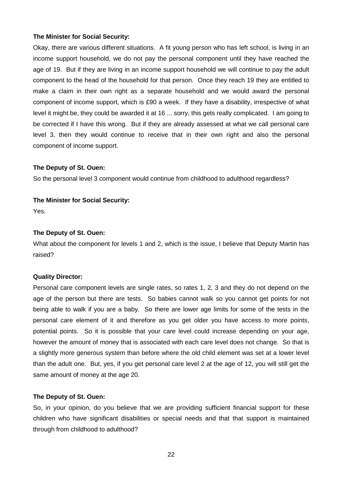Okay, there are various different situations. A fit young person who has left school, is living in an income support household, we do not pay the personal component until they have reached the age of 19. But if they are living in an income support household we will continue to pay the adult component to the head of the household for that person. Once they reach 19 they are entitled to make a claim in their own right as a separate household and we would award the personal component of income support, which is £90 a week. If they have a disability, irrespective of what level it might be, they could be awarded it at 16 ... sorry, this gets really complicated. I am going to be corrected if I have this wrong. But if they are already assessed at what we call personal care level 3, then they would continue to receive that in their own right and also the personal component of income support.

#### **The Deputy of St. Ouen:**

So the personal level 3 component would continue from childhood to adulthood regardless?

#### **The Minister for Social Security:**

Yes.

#### **The Deputy of St. Ouen:**

What about the component for levels 1 and 2, which is the issue, I believe that Deputy Martin has raised?

#### **Quality Director:**

Personal care component levels are single rates, so rates 1, 2, 3 and they do not depend on the age of the person but there are tests. So babies cannot walk so you cannot get points for not being able to walk if you are a baby. So there are lower age limits for some of the tests in the personal care element of it and therefore as you get older you have access to more points, potential points. So it is possible that your care level could increase depending on your age, however the amount of money that is associated with each care level does not change. So that is a slightly more generous system than before where the old child element was set at a lower level than the adult one. But, yes, if you get personal care level 2 at the age of 12, you will still get the same amount of money at the age 20.

#### **The Deputy of St. Ouen:**

So, in your opinion, do you believe that we are providing sufficient financial support for these children who have significant disabilities or special needs and that that support is maintained through from childhood to adulthood?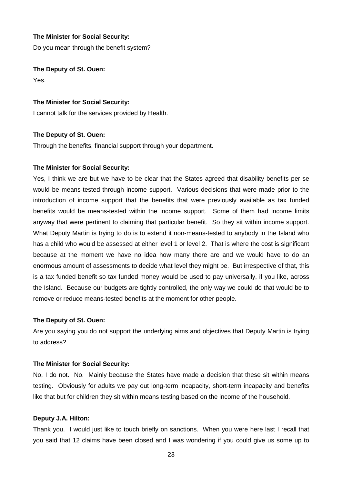Do you mean through the benefit system?

**The Deputy of St. Ouen:** 

Yes.

#### **The Minister for Social Security:**

I cannot talk for the services provided by Health.

#### **The Deputy of St. Ouen:**

Through the benefits, financial support through your department.

#### **The Minister for Social Security:**

Yes, I think we are but we have to be clear that the States agreed that disability benefits per se would be means-tested through income support. Various decisions that were made prior to the introduction of income support that the benefits that were previously available as tax funded benefits would be means-tested within the income support. Some of them had income limits anyway that were pertinent to claiming that particular benefit. So they sit within income support. What Deputy Martin is trying to do is to extend it non-means-tested to anybody in the Island who has a child who would be assessed at either level 1 or level 2. That is where the cost is significant because at the moment we have no idea how many there are and we would have to do an enormous amount of assessments to decide what level they might be. But irrespective of that, this is a tax funded benefit so tax funded money would be used to pay universally, if you like, across the Island. Because our budgets are tightly controlled, the only way we could do that would be to remove or reduce means-tested benefits at the moment for other people.

#### **The Deputy of St. Ouen:**

Are you saying you do not support the underlying aims and objectives that Deputy Martin is trying to address?

#### **The Minister for Social Security:**

No, I do not. No. Mainly because the States have made a decision that these sit within means testing. Obviously for adults we pay out long-term incapacity, short-term incapacity and benefits like that but for children they sit within means testing based on the income of the household.

#### **Deputy J.A. Hilton:**

Thank you. I would just like to touch briefly on sanctions. When you were here last I recall that you said that 12 claims have been closed and I was wondering if you could give us some up to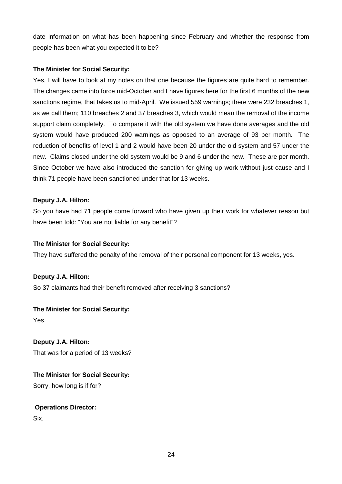date information on what has been happening since February and whether the response from people has been what you expected it to be?

## **The Minister for Social Security:**

Yes, I will have to look at my notes on that one because the figures are quite hard to remember. The changes came into force mid-October and I have figures here for the first 6 months of the new sanctions regime, that takes us to mid-April. We issued 559 warnings; there were 232 breaches 1, as we call them; 110 breaches 2 and 37 breaches 3, which would mean the removal of the income support claim completely. To compare it with the old system we have done averages and the old system would have produced 200 warnings as opposed to an average of 93 per month. The reduction of benefits of level 1 and 2 would have been 20 under the old system and 57 under the new. Claims closed under the old system would be 9 and 6 under the new. These are per month. Since October we have also introduced the sanction for giving up work without just cause and I think 71 people have been sanctioned under that for 13 weeks.

## **Deputy J.A. Hilton:**

So you have had 71 people come forward who have given up their work for whatever reason but have been told: "You are not liable for any benefit"?

## **The Minister for Social Security:**

They have suffered the penalty of the removal of their personal component for 13 weeks, yes.

## **Deputy J.A. Hilton:**

So 37 claimants had their benefit removed after receiving 3 sanctions?

## **The Minister for Social Security:**

Yes.

**Deputy J.A. Hilton:**  That was for a period of 13 weeks?

**The Minister for Social Security:** 

Sorry, how long is if for?

## **Operations Director:**

Six.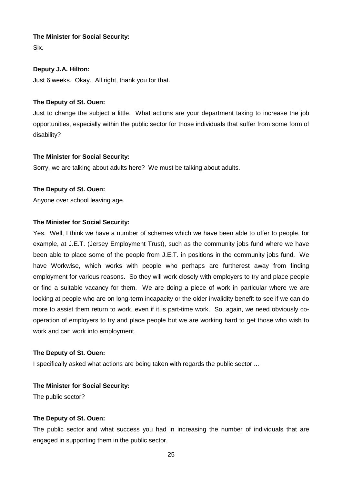Six.

## **Deputy J.A. Hilton:**

Just 6 weeks. Okay. All right, thank you for that.

## **The Deputy of St. Ouen:**

Just to change the subject a little. What actions are your department taking to increase the job opportunities, especially within the public sector for those individuals that suffer from some form of disability?

## **The Minister for Social Security:**

Sorry, we are talking about adults here? We must be talking about adults.

## **The Deputy of St. Ouen:**

Anyone over school leaving age.

## **The Minister for Social Security:**

Yes. Well, I think we have a number of schemes which we have been able to offer to people, for example, at J.E.T. (Jersey Employment Trust), such as the community jobs fund where we have been able to place some of the people from J.E.T. in positions in the community jobs fund. We have Workwise, which works with people who perhaps are furtherest away from finding employment for various reasons. So they will work closely with employers to try and place people or find a suitable vacancy for them. We are doing a piece of work in particular where we are looking at people who are on long-term incapacity or the older invalidity benefit to see if we can do more to assist them return to work, even if it is part-time work. So, again, we need obviously cooperation of employers to try and place people but we are working hard to get those who wish to work and can work into employment.

## **The Deputy of St. Ouen:**

I specifically asked what actions are being taken with regards the public sector ...

## **The Minister for Social Security:**

The public sector?

## **The Deputy of St. Ouen:**

The public sector and what success you had in increasing the number of individuals that are engaged in supporting them in the public sector.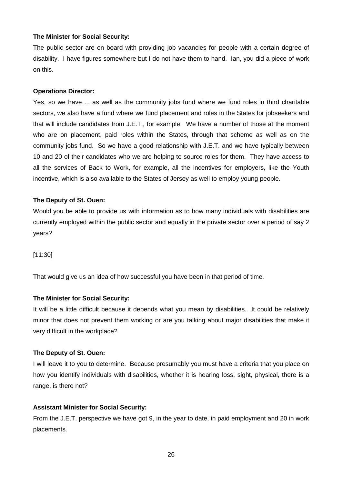The public sector are on board with providing job vacancies for people with a certain degree of disability. I have figures somewhere but I do not have them to hand. Ian, you did a piece of work on this.

#### **Operations Director:**

Yes, so we have ... as well as the community jobs fund where we fund roles in third charitable sectors, we also have a fund where we fund placement and roles in the States for jobseekers and that will include candidates from J.E.T., for example. We have a number of those at the moment who are on placement, paid roles within the States, through that scheme as well as on the community jobs fund. So we have a good relationship with J.E.T. and we have typically between 10 and 20 of their candidates who we are helping to source roles for them. They have access to all the services of Back to Work, for example, all the incentives for employers, like the Youth incentive, which is also available to the States of Jersey as well to employ young people.

#### **The Deputy of St. Ouen:**

Would you be able to provide us with information as to how many individuals with disabilities are currently employed within the public sector and equally in the private sector over a period of say 2 years?

[11:30]

That would give us an idea of how successful you have been in that period of time.

#### **The Minister for Social Security:**

It will be a little difficult because it depends what you mean by disabilities. It could be relatively minor that does not prevent them working or are you talking about major disabilities that make it very difficult in the workplace?

#### **The Deputy of St. Ouen:**

I will leave it to you to determine. Because presumably you must have a criteria that you place on how you identify individuals with disabilities, whether it is hearing loss, sight, physical, there is a range, is there not?

#### **Assistant Minister for Social Security:**

From the J.E.T. perspective we have got 9, in the year to date, in paid employment and 20 in work placements.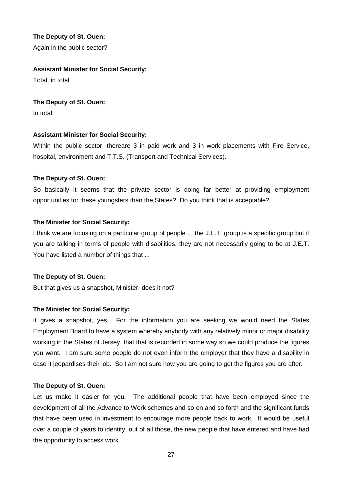**The Deputy of St. Ouen:** 

Again in the public sector?

## **Assistant Minister for Social Security:**

Total, in total.

## **The Deputy of St. Ouen:**

In total.

## **Assistant Minister for Social Security:**

Within the public sector, thereare 3 in paid work and 3 in work placements with Fire Service, hospital, environment and T.T.S. (Transport and Technical Services).

## **The Deputy of St. Ouen:**

So basically it seems that the private sector is doing far better at providing employment opportunities for these youngsters than the States? Do you think that is acceptable?

## **The Minister for Social Security:**

I think we are focusing on a particular group of people ... the J.E.T. group is a specific group but if you are talking in terms of people with disabilities, they are not necessarily going to be at J.E.T. You have listed a number of things that ...

## **The Deputy of St. Ouen:**

But that gives us a snapshot, Minister, does it not?

## **The Minister for Social Security:**

It gives a snapshot, yes. For the information you are seeking we would need the States Employment Board to have a system whereby anybody with any relatively minor or major disability working in the States of Jersey, that that is recorded in some way so we could produce the figures you want. I am sure some people do not even inform the employer that they have a disability in case it jeopardises their job. So I am not sure how you are going to get the figures you are after.

## **The Deputy of St. Ouen:**

Let us make it easier for you. The additional people that have been employed since the development of all the Advance to Work schemes and so on and so forth and the significant funds that have been used in investment to encourage more people back to work. It would be useful over a couple of years to identify, out of all those, the new people that have entered and have had the opportunity to access work.